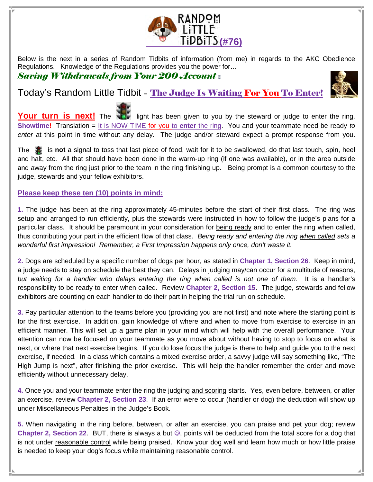

Below is the next in a series of Random Tidbits of information (from me) in regards to the AKC Obedience Regulations. Knowledge of the Regulations provides you the power for…

## Saving Withdrawals from Your 200 Account **©**

## Today's Random Little Tidbit – The Judge Is Waiting For You To Enter!



Your turn is next! The **the light has been given to you by the steward or judge to enter the ring. Showtime!** Translation = It is NOW TIME for you to **enter** the ring. You and your teammate need be ready to enter at this point in time without any delay. The judge and/or steward expect a prompt response from you.

The is **not** a signal to toss that last piece of food, wait for it to be swallowed, do that last touch, spin, heel and halt, etc. All that should have been done in the warm-up ring (if one was available), or in the area outside and away from the ring just prior to the team in the ring finishing up. Being prompt is a common courtesy to the judge, stewards and your fellow exhibitors.

## **Please keep these ten (10) points in mind:**

**1.** The judge has been at the ring approximately 45-minutes before the start of their first class. The ring was setup and arranged to run efficiently, plus the stewards were instructed in how to follow the judge's plans for a particular class. It should be paramount in your consideration for being ready and to enter the ring when called, thus contributing your part in the efficient flow of that class. Being ready and entering the ring when called sets a wonderful first impression! Remember, a First Impression happens only once, don't waste it.

**2.** Dogs are scheduled by a specific number of dogs per hour, as stated in **Chapter 1, Section 26**. Keep in mind, a judge needs to stay on schedule the best they can. Delays in judging may/can occur for a multitude of reasons, but waiting for a handler who delays entering the ring when called is not one of them. It is a handler's responsibility to be ready to enter when called. Review **Chapter 2, Section 15**. The judge, stewards and fellow exhibitors are counting on each handler to do their part in helping the trial run on schedule.

**3.** Pay particular attention to the teams before you (providing you are not first) and note where the starting point is for the first exercise. In addition, gain knowledge of where and when to move from exercise to exercise in an efficient manner. This will set up a game plan in your mind which will help with the overall performance. Your attention can now be focused on your teammate as you move about without having to stop to focus on what is next, or where that next exercise begins. If you do lose focus the judge is there to help and guide you to the next exercise, if needed. In a class which contains a mixed exercise order, a savvy judge will say something like, "The High Jump is next", after finishing the prior exercise. This will help the handler remember the order and move efficiently without unnecessary delay.

**4.** Once you and your teammate enter the ring the judging and scoring starts. Yes, even before, between, or after an exercise, review **Chapter 2, Section 23**. If an error were to occur (handler or dog) the deduction will show up under Miscellaneous Penalties in the Judge's Book.

**5.** When navigating in the ring before, between, or after an exercise, you can praise and pet your dog; review **Chapter 2, Section 22**. BUT, there is always a but ☺, points will be deducted from the total score for a dog that is not under reasonable control while being praised. Know your dog well and learn how much or how little praise is needed to keep your dog's focus while maintaining reasonable control.